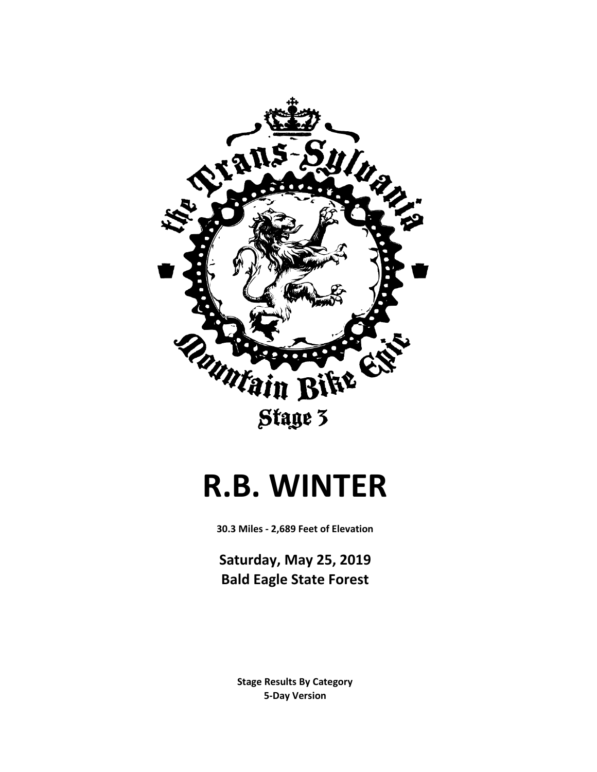

### **R.B. WINTER**

**30.3 Miles - 2,689 Feet of Elevation**

**Saturday, May 25, 2019 Bald Eagle State Forest**

> **5-Day Version Stage Results By Category**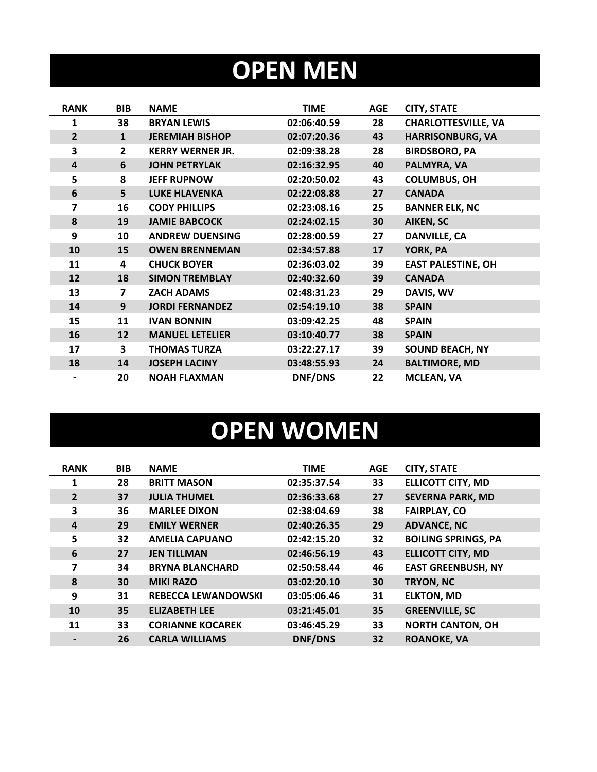## **OPEN MEN**

| <b>RANK</b>             | <b>BIB</b>              | <b>NAME</b>             | <b>TIME</b> | <b>AGE</b> | <b>CITY, STATE</b>         |
|-------------------------|-------------------------|-------------------------|-------------|------------|----------------------------|
| 1                       | 38                      | <b>BRYAN LEWIS</b>      | 02:06:40.59 | 28         | <b>CHARLOTTESVILLE, VA</b> |
| $\overline{2}$          | $\mathbf{1}$            | <b>JEREMIAH BISHOP</b>  | 02:07:20.36 | 43         | <b>HARRISONBURG, VA</b>    |
| 3                       | $\overline{2}$          | <b>KERRY WERNER JR.</b> | 02:09:38.28 | 28         | <b>BIRDSBORO, PA</b>       |
| $\overline{\mathbf{4}}$ | 6                       | <b>JOHN PETRYLAK</b>    | 02:16:32.95 | 40         | PALMYRA, VA                |
| 5                       | 8                       | <b>JEFF RUPNOW</b>      | 02:20:50.02 | 43         | <b>COLUMBUS, OH</b>        |
| 6                       | 5                       | <b>LUKE HLAVENKA</b>    | 02:22:08.88 | 27         | <b>CANADA</b>              |
| 7                       | 16                      | <b>CODY PHILLIPS</b>    | 02:23:08.16 | 25         | <b>BANNER ELK, NC</b>      |
| 8                       | 19                      | <b>JAMIE BABCOCK</b>    | 02:24:02.15 | 30         | <b>AIKEN, SC</b>           |
| 9                       | 10                      | <b>ANDREW DUENSING</b>  | 02:28:00.59 | 27         | <b>DANVILLE, CA</b>        |
| 10                      | 15                      | <b>OWEN BRENNEMAN</b>   | 02:34:57.88 | 17         | YORK, PA                   |
| 11                      | 4                       | <b>CHUCK BOYER</b>      | 02:36:03.02 | 39         | <b>EAST PALESTINE, OH</b>  |
| 12                      | 18                      | <b>SIMON TREMBLAY</b>   | 02:40:32.60 | 39         | <b>CANADA</b>              |
| 13                      | $\overline{\mathbf{z}}$ | <b>ZACH ADAMS</b>       | 02:48:31.23 | 29         | DAVIS, WV                  |
| 14                      | 9                       | <b>JORDI FERNANDEZ</b>  | 02:54:19.10 | 38         | <b>SPAIN</b>               |
| 15                      | 11                      | <b>IVAN BONNIN</b>      | 03:09:42.25 | 48         | <b>SPAIN</b>               |
| 16                      | 12                      | <b>MANUEL LETELIER</b>  | 03:10:40.77 | 38         | <b>SPAIN</b>               |
| 17                      | 3                       | <b>THOMAS TURZA</b>     | 03:22:27.17 | 39         | <b>SOUND BEACH, NY</b>     |
| 18                      | 14                      | <b>JOSEPH LACINY</b>    | 03:48:55.93 | 24         | <b>BALTIMORE, MD</b>       |
|                         | 20                      | <b>NOAH FLAXMAN</b>     | DNF/DNS     | 22         | <b>MCLEAN, VA</b>          |

# **OPEN WOMEN**

| <b>RANK</b>    | <b>BIB</b> | <b>NAME</b>                | <b>TIME</b> | <b>AGE</b> | <b>CITY, STATE</b>         |
|----------------|------------|----------------------------|-------------|------------|----------------------------|
| 1              | 28         | <b>BRITT MASON</b>         | 02:35:37.54 | 33         | <b>ELLICOTT CITY, MD</b>   |
| $\overline{2}$ | 37         | <b>JULIA THUMEL</b>        | 02:36:33.68 | 27         | <b>SEVERNA PARK, MD</b>    |
| 3              | 36         | <b>MARLEE DIXON</b>        | 02:38:04.69 | 38         | <b>FAIRPLAY, CO</b>        |
| $\overline{a}$ | 29         | <b>EMILY WERNER</b>        | 02:40:26.35 | 29         | <b>ADVANCE, NC</b>         |
| 5              | 32         | <b>AMELIA CAPUANO</b>      | 02:42:15.20 | 32         | <b>BOILING SPRINGS, PA</b> |
| 6              | 27         | <b>JEN TILLMAN</b>         | 02:46:56.19 | 43         | <b>ELLICOTT CITY, MD</b>   |
| 7              | 34         | <b>BRYNA BLANCHARD</b>     | 02:50:58.44 | 46         | <b>EAST GREENBUSH, NY</b>  |
| 8              | 30         | <b>MIKI RAZO</b>           | 03:02:20.10 | 30         | <b>TRYON, NC</b>           |
| 9              | 31         | <b>REBECCA LEWANDOWSKI</b> | 03:05:06.46 | 31         | <b>ELKTON, MD</b>          |
| 10             | 35         | <b>ELIZABETH LEE</b>       | 03:21:45.01 | 35         | <b>GREENVILLE, SC</b>      |
| 11             | 33         | <b>CORIANNE KOCAREK</b>    | 03:46:45.29 | 33         | <b>NORTH CANTON, OH</b>    |
|                | 26         | <b>CARLA WILLIAMS</b>      | DNF/DNS     | 32         | <b>ROANOKE, VA</b>         |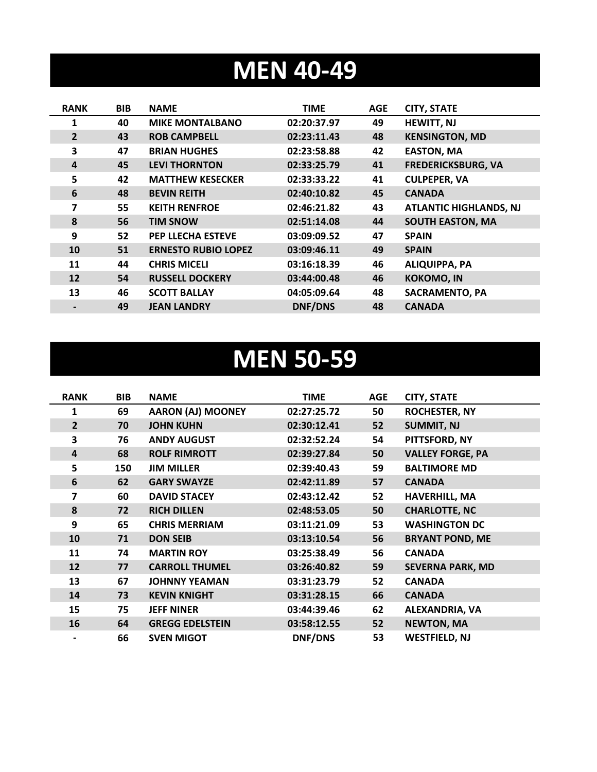### **MEN 40-49**

| <b>RANK</b>    | <b>BIB</b> | <b>NAME</b>                | <b>TIME</b>    | <b>AGE</b> | <b>CITY, STATE</b>            |
|----------------|------------|----------------------------|----------------|------------|-------------------------------|
| 1              | 40         | <b>MIKE MONTALBANO</b>     | 02:20:37.97    | 49         | <b>HEWITT, NJ</b>             |
| $\overline{2}$ | 43         | <b>ROB CAMPBELL</b>        | 02:23:11.43    | 48         | <b>KENSINGTON, MD</b>         |
| 3              | 47         | <b>BRIAN HUGHES</b>        | 02:23:58.88    | 42         | <b>EASTON, MA</b>             |
| 4              | 45         | <b>LEVI THORNTON</b>       | 02:33:25.79    | 41         | <b>FREDERICKSBURG, VA</b>     |
| 5              | 42         | <b>MATTHEW KESECKER</b>    | 02:33:33.22    | 41         | <b>CULPEPER, VA</b>           |
| 6              | 48         | <b>BEVIN REITH</b>         | 02:40:10.82    | 45         | <b>CANADA</b>                 |
| 7              | 55         | <b>KEITH RENFROE</b>       | 02:46:21.82    | 43         | <b>ATLANTIC HIGHLANDS, NJ</b> |
| 8              | 56         | <b>TIM SNOW</b>            | 02:51:14.08    | 44         | <b>SOUTH EASTON, MA</b>       |
| 9              | 52         | <b>PEP LLECHA ESTEVE</b>   | 03:09:09.52    | 47         | <b>SPAIN</b>                  |
| 10             | 51         | <b>ERNESTO RUBIO LOPEZ</b> | 03:09:46.11    | 49         | <b>SPAIN</b>                  |
| 11             | 44         | <b>CHRIS MICELI</b>        | 03:16:18.39    | 46         | <b>ALIQUIPPA, PA</b>          |
| 12             | 54         | <b>RUSSELL DOCKERY</b>     | 03:44:00.48    | 46         | <b>KOKOMO, IN</b>             |
| 13             | 46         | <b>SCOTT BALLAY</b>        | 04:05:09.64    | 48         | <b>SACRAMENTO, PA</b>         |
|                | 49         | <b>JEAN LANDRY</b>         | <b>DNF/DNS</b> | 48         | <b>CANADA</b>                 |

### **MEN 50-59**

| <b>RANK</b>    | BIB | <b>NAME</b>              | <b>TIME</b> | <b>AGE</b> | <b>CITY, STATE</b>      |
|----------------|-----|--------------------------|-------------|------------|-------------------------|
| 1              | 69  | <b>AARON (AJ) MOONEY</b> | 02:27:25.72 | 50         | <b>ROCHESTER, NY</b>    |
| $\overline{2}$ | 70  | <b>JOHN KUHN</b>         | 02:30:12.41 | 52         | <b>SUMMIT, NJ</b>       |
| 3              | 76  | <b>ANDY AUGUST</b>       | 02:32:52.24 | 54         | PITTSFORD, NY           |
| 4              | 68  | <b>ROLF RIMROTT</b>      | 02:39:27.84 | 50         | <b>VALLEY FORGE, PA</b> |
| 5              | 150 | <b>JIM MILLER</b>        | 02:39:40.43 | 59         | <b>BALTIMORE MD</b>     |
| 6              | 62  | <b>GARY SWAYZE</b>       | 02:42:11.89 | 57         | <b>CANADA</b>           |
| 7              | 60  | <b>DAVID STACEY</b>      | 02:43:12.42 | 52         | <b>HAVERHILL, MA</b>    |
| 8              | 72  | <b>RICH DILLEN</b>       | 02:48:53.05 | 50         | <b>CHARLOTTE, NC</b>    |
| 9              | 65  | <b>CHRIS MERRIAM</b>     | 03:11:21.09 | 53         | <b>WASHINGTON DC</b>    |
| 10             | 71  | <b>DON SEIB</b>          | 03:13:10.54 | 56         | <b>BRYANT POND, ME</b>  |
| 11             | 74  | <b>MARTIN ROY</b>        | 03:25:38.49 | 56         | <b>CANADA</b>           |
| 12             | 77  | <b>CARROLL THUMEL</b>    | 03:26:40.82 | 59         | <b>SEVERNA PARK, MD</b> |
| 13             | 67  | <b>JOHNNY YEAMAN</b>     | 03:31:23.79 | 52         | <b>CANADA</b>           |
| 14             | 73  | <b>KEVIN KNIGHT</b>      | 03:31:28.15 | 66         | <b>CANADA</b>           |
| 15             | 75  | <b>JEFF NINER</b>        | 03:44:39.46 | 62         | ALEXANDRIA, VA          |
| 16             | 64  | <b>GREGG EDELSTEIN</b>   | 03:58:12.55 | 52         | <b>NEWTON, MA</b>       |
|                | 66  | <b>SVEN MIGOT</b>        | DNF/DNS     | 53         | <b>WESTFIELD, NJ</b>    |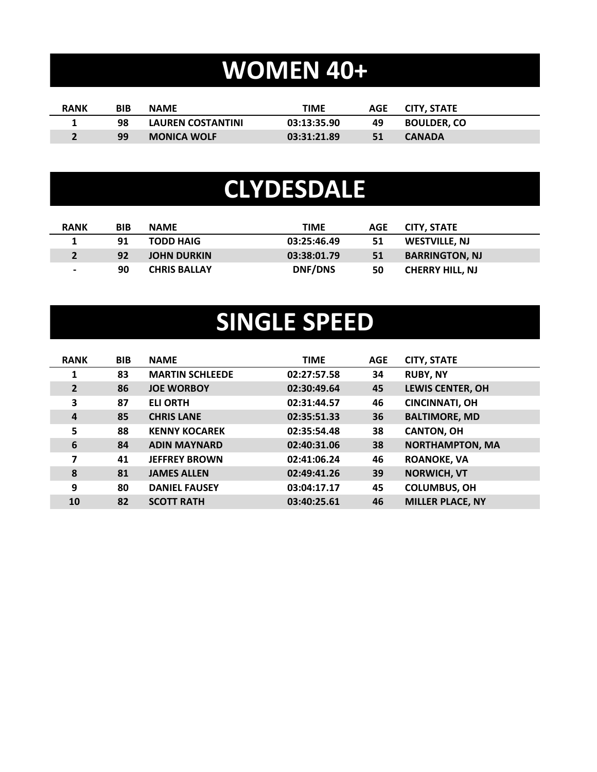# **WOMEN 40+**

| <b>RANK</b> | <b>BIB</b> | <b>NAME</b>        | TIME        | AGE | CITY. STATE        |
|-------------|------------|--------------------|-------------|-----|--------------------|
|             | 98         | LAUREN COSTANTINI  | 03:13:35.90 | 49  | <b>BOULDER. CO</b> |
|             | 99         | <b>MONICA WOLF</b> | 03:31:21.89 | 51  | <b>CANADA</b>      |

#### **CLYDESDALE**

| <b>RANK</b>    | <b>BIB</b> | <b>NAME</b>         | <b>TIME</b>    | <b>AGE</b> | <b>CITY. STATE</b>     |
|----------------|------------|---------------------|----------------|------------|------------------------|
|                | 91         | <b>TODD HAIG</b>    | 03:25:46.49    | 51         | <b>WESTVILLE, NJ</b>   |
|                | 92         | <b>JOHN DURKIN</b>  | 03:38:01.79    | 51         | <b>BARRINGTON, NJ</b>  |
| $\blacksquare$ | 90         | <b>CHRIS BALLAY</b> | <b>DNF/DNS</b> | 50         | <b>CHERRY HILL, NJ</b> |

### **SINGLE SPEED**

| <b>RANK</b>    | <b>BIB</b> | <b>NAME</b>            | <b>TIME</b> | <b>AGE</b> | <b>CITY, STATE</b>      |
|----------------|------------|------------------------|-------------|------------|-------------------------|
| 1              | 83         | <b>MARTIN SCHLEEDE</b> | 02:27:57.58 | 34         | <b>RUBY, NY</b>         |
| $\overline{2}$ | 86         | <b>JOE WORBOY</b>      | 02:30:49.64 | 45         | <b>LEWIS CENTER, OH</b> |
| 3              | 87         | <b>ELI ORTH</b>        | 02:31:44.57 | 46         | <b>CINCINNATI, OH</b>   |
| $\overline{a}$ | 85         | <b>CHRIS LANE</b>      | 02:35:51.33 | 36         | <b>BALTIMORE, MD</b>    |
| 5              | 88         | <b>KENNY KOCAREK</b>   | 02:35:54.48 | 38         | <b>CANTON, OH</b>       |
| 6              | 84         | <b>ADIN MAYNARD</b>    | 02:40:31.06 | 38         | <b>NORTHAMPTON, MA</b>  |
| 7              | 41         | <b>JEFFREY BROWN</b>   | 02:41:06.24 | 46         | <b>ROANOKE, VA</b>      |
| 8              | 81         | <b>JAMES ALLEN</b>     | 02:49:41.26 | 39         | <b>NORWICH, VT</b>      |
| 9              | 80         | <b>DANIEL FAUSEY</b>   | 03:04:17.17 | 45         | <b>COLUMBUS, OH</b>     |
| 10             | 82         | <b>SCOTT RATH</b>      | 03:40:25.61 | 46         | <b>MILLER PLACE, NY</b> |